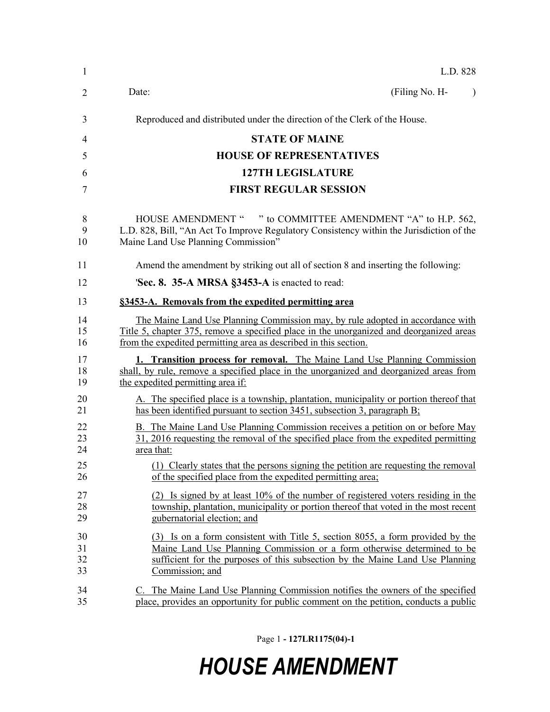| 1                    | L.D. 828                                                                                                                                                                                                                                                      |
|----------------------|---------------------------------------------------------------------------------------------------------------------------------------------------------------------------------------------------------------------------------------------------------------|
| 2                    | Date:<br>(Filing No. H-<br>$\lambda$                                                                                                                                                                                                                          |
| 3                    | Reproduced and distributed under the direction of the Clerk of the House.                                                                                                                                                                                     |
| 4                    | <b>STATE OF MAINE</b>                                                                                                                                                                                                                                         |
| 5                    | <b>HOUSE OF REPRESENTATIVES</b>                                                                                                                                                                                                                               |
| 6                    | <b>127TH LEGISLATURE</b>                                                                                                                                                                                                                                      |
| 7                    | <b>FIRST REGULAR SESSION</b>                                                                                                                                                                                                                                  |
| 8<br>9<br>10         | HOUSE AMENDMENT " " to COMMITTEE AMENDMENT "A" to H.P. 562,<br>L.D. 828, Bill, "An Act To Improve Regulatory Consistency within the Jurisdiction of the<br>Maine Land Use Planning Commission"                                                                |
| 11                   | Amend the amendment by striking out all of section 8 and inserting the following:                                                                                                                                                                             |
| 12                   | 'Sec. 8. 35-A MRSA §3453-A is enacted to read:                                                                                                                                                                                                                |
| 13                   | §3453-A. Removals from the expedited permitting area                                                                                                                                                                                                          |
| 14<br>15<br>16       | The Maine Land Use Planning Commission may, by rule adopted in accordance with<br>Title 5, chapter 375, remove a specified place in the unorganized and deorganized areas<br>from the expedited permitting area as described in this section.                 |
| 17<br>18<br>19       | <b>1. Transition process for removal.</b> The Maine Land Use Planning Commission<br>shall, by rule, remove a specified place in the unorganized and deorganized areas from<br>the expedited permitting area if:                                               |
| 20<br>21             | A. The specified place is a township, plantation, municipality or portion thereof that<br>has been identified pursuant to section 3451, subsection 3, paragraph B;                                                                                            |
| 22<br>23<br>24       | B. The Maine Land Use Planning Commission receives a petition on or before May<br>31, 2016 requesting the removal of the specified place from the expedited permitting<br>area that:                                                                          |
| 25<br>26             | (1) Clearly states that the persons signing the petition are requesting the removal<br>of the specified place from the expedited permitting area;                                                                                                             |
| 27<br>28<br>29       | (2) Is signed by at least 10% of the number of registered voters residing in the<br>township, plantation, municipality or portion thereof that voted in the most recent<br>gubernatorial election; and                                                        |
| 30<br>31<br>32<br>33 | (3) Is on a form consistent with Title 5, section 8055, a form provided by the<br>Maine Land Use Planning Commission or a form otherwise determined to be<br>sufficient for the purposes of this subsection by the Maine Land Use Planning<br>Commission; and |
| 34<br>35             | C. The Maine Land Use Planning Commission notifies the owners of the specified<br>place, provides an opportunity for public comment on the petition, conducts a public                                                                                        |

Page 1 **- 127LR1175(04)-1**

## *HOUSE AMENDMENT*